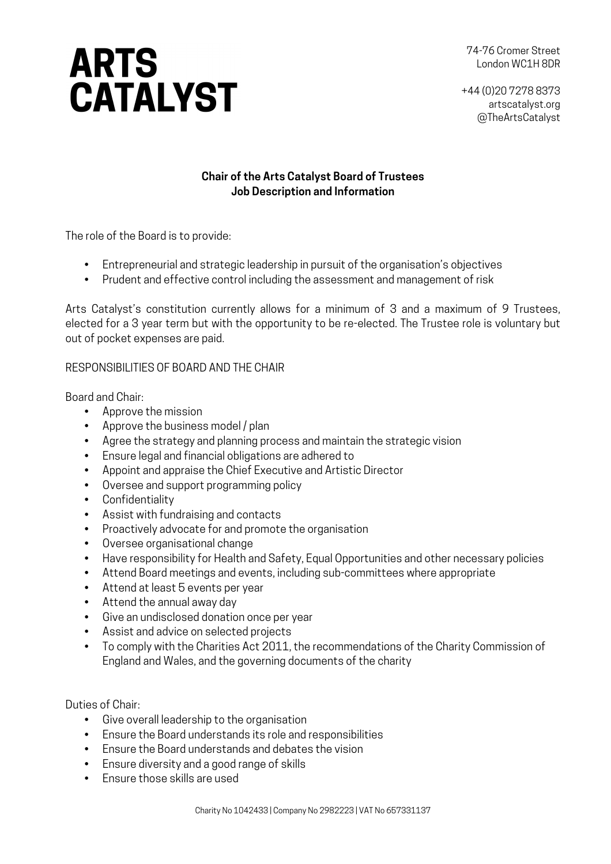# **ARTS<br>CATALYST**

74-76 Cromer Street London WC1H 8DR

+44 (0)20 7278 8373 artscatalyst.org @TheArtsCatalyst

# **Chair of the Arts Catalyst Board of Trustees Job Description and Information**

The role of the Board is to provide:

- Entrepreneurial and strategic leadership in pursuit of the organisation's objectives
- Prudent and effective control including the assessment and management of risk

Arts Catalyst's constitution currently allows for a minimum of 3 and a maximum of 9 Trustees, elected for a 3 year term but with the opportunity to be re-elected. The Trustee role is voluntary but out of pocket expenses are paid.

# RESPONSIBILITIES OF BOARD AND THE CHAIR

Board and Chair:

- Approve the mission
- Approve the business model / plan
- Agree the strategy and planning process and maintain the strategic vision
- Ensure legal and financial obligations are adhered to
- Appoint and appraise the Chief Executive and Artistic Director
- Oversee and support programming policy
- Confidentiality
- Assist with fundraising and contacts
- Proactively advocate for and promote the organisation
- Oversee organisational change
- Have responsibility for Health and Safety, Equal Opportunities and other necessary policies
- Attend Board meetings and events, including sub-committees where appropriate
- Attend at least 5 events per year
- Attend the annual away day
- Give an undisclosed donation once per year
- Assist and advice on selected projects
- To comply with the Charities Act 2011, the recommendations of the Charity Commission of England and Wales, and the governing documents of the charity

Duties of Chair:

- Give overall leadership to the organisation
- Ensure the Board understands its role and responsibilities
- Ensure the Board understands and debates the vision
- Ensure diversity and a good range of skills
- Ensure those skills are used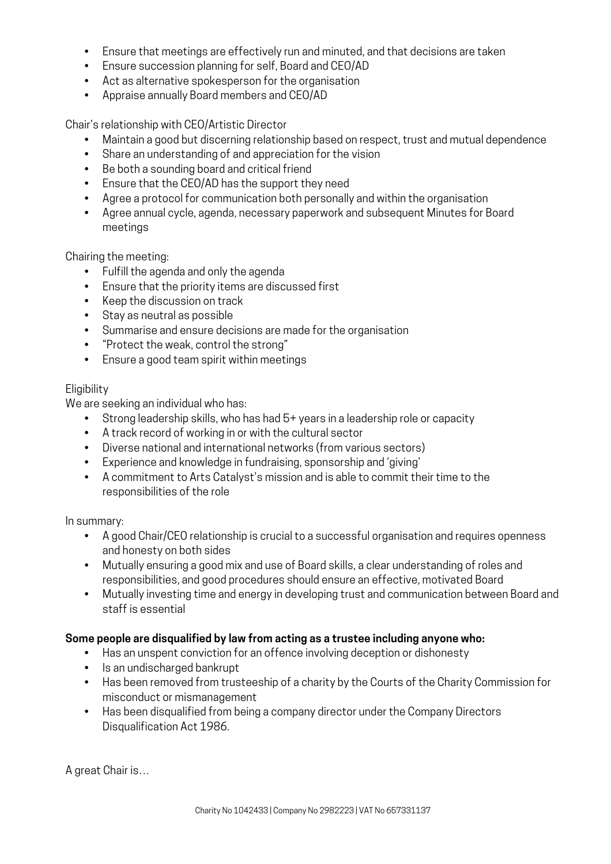- Ensure that meetings are effectively run and minuted, and that decisions are taken
- Ensure succession planning for self, Board and CEO/AD
- Act as alternative spokesperson for the organisation
- Appraise annually Board members and CEO/AD

Chair's relationship with CEO/Artistic Director

- Maintain a good but discerning relationship based on respect, trust and mutual dependence
- Share an understanding of and appreciation for the vision
- Be both a sounding board and critical friend
- Ensure that the CEO/AD has the support they need
- Agree a protocol for communication both personally and within the organisation
- Agree annual cycle, agenda, necessary paperwork and subsequent Minutes for Board meetings

Chairing the meeting:

- Fulfill the agenda and only the agenda
- Ensure that the priority items are discussed first
- Keep the discussion on track
- Stay as neutral as possible
- Summarise and ensure decisions are made for the organisation
- "Protect the weak, control the strong"
- Ensure a good team spirit within meetings

## Eligibility

We are seeking an individual who has:

- Strong leadership skills, who has had 5+ years in a leadership role or capacity
- A track record of working in or with the cultural sector
- Diverse national and international networks (from various sectors)
- Experience and knowledge in fundraising, sponsorship and 'giving'
- A commitment to Arts Catalyst's mission and is able to commit their time to the responsibilities of the role

In summary:

- A good Chair/CEO relationship is crucial to a successful organisation and requires openness and honesty on both sides
- Mutually ensuring a good mix and use of Board skills, a clear understanding of roles and responsibilities, and good procedures should ensure an effective, motivated Board
- Mutually investing time and energy in developing trust and communication between Board and staff is essential

## **Some people are disqualified by law from acting as a trustee including anyone who:**

- Has an unspent conviction for an offence involving deception or dishonesty
- Is an undischarged bankrupt
- Has been removed from trusteeship of a charity by the Courts of the Charity Commission for misconduct or mismanagement
- Has been disqualified from being a company director under the Company Directors Disqualification Act 1986.

A great Chair is…